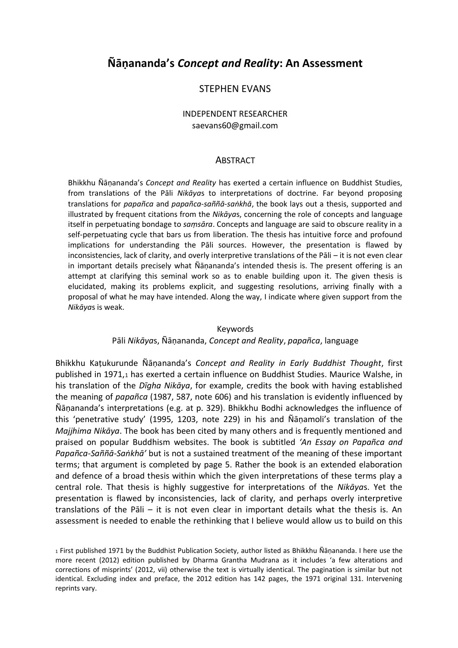# **Ñāṇananda's** *Concept and Reality***: An Assessment**

# STEPHEN EVANS

### INDEPENDENT RESEARCHER [saevans60@gmail.com](mailto:saevans60@gmail.com)

#### **ABSTRACT**

Bhikkhu Ñāṇananda's *Concept and Reality* has exerted a certain influence on Buddhist Studies, from translations of the Pāli *Nikāya*s to interpretations of doctrine. Far beyond proposing translations for *papañca* and *papañca-saññā-saṅkhā*, the book lays out a thesis, supported and illustrated by frequent citations from the *Nikāya*s, concerning the role of concepts and language itself in perpetuating bondage to *saṃsāra*. Concepts and language are said to obscure reality in a self-perpetuating cycle that bars us from liberation. The thesis has intuitive force and profound implications for understanding the Pāli sources. However, the presentation is flawed by inconsistencies, lack of clarity, and overly interpretive translations of the Pāli – it is not even clear in important details precisely what Ñāṇananda's intended thesis is. The present offering is an attempt at clarifying this seminal work so as to enable building upon it. The given thesis is elucidated, making its problems explicit, and suggesting resolutions, arriving finally with a proposal of what he may have intended. Along the way, I indicate where given support from the *Nikāya*s is weak.

#### Keywords

#### Pāli *Nikāya*s, Ñāṇananda, *Concept and Reality*, *papañca*, language

Bhikkhu Kaṭukurunde Ñāṇananda's *Concept and Reality in Early Buddhist Thought*, first published in 1971,<sup>1</sup> has exerted a certain influence on Buddhist Studies. Maurice Walshe, in his translation of the *Dīgha Nikāya*, for example, credits the book with having established the meaning of *papañca* (1987, 587, note 606) and his translation is evidently influenced by Ñāṇananda's interpretations (e.g. at p. 329). Bhikkhu Bodhi acknowledges the influence of this 'penetrative study' (1995, 1203, note 229) in his and Ñāṇamoli's translation of the *Majjhima Nikāya*. The book has been cited by many others and is frequently mentioned and praised on popular Buddhism websites. The book is subtitled *'An Essay on Papañca and Papañca-Saññā-Saṅkhā'* but is not a sustained treatment of the meaning of these important terms; that argument is completed by page 5. Rather the book is an extended elaboration and defence of a broad thesis within which the given interpretations of these terms play a central role. That thesis is highly suggestive for interpretations of the *Nikāya*s. Yet the presentation is flawed by inconsistencies, lack of clarity, and perhaps overly interpretive translations of the Pāli – it is not even clear in important details what the thesis is. An assessment is needed to enable the rethinking that I believe would allow us to build on this

<sup>1</sup> First published 1971 by the Buddhist Publication Society, author listed as Bhikkhu Ñāṇananda. I here use the more recent (2012) edition published by Dharma Grantha Mudrana as it includes 'a few alterations and corrections of misprints' (2012, vii) otherwise the text is virtually identical. The pagination is similar but not identical. Excluding index and preface, the 2012 edition has 142 pages, the 1971 original 131. Intervening reprints vary.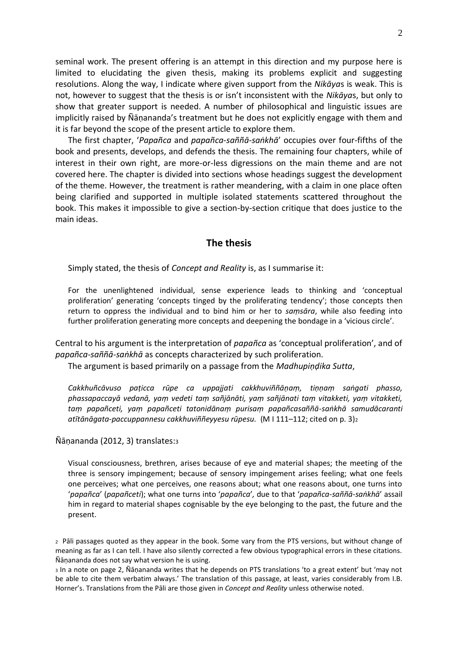seminal work. The present offering is an attempt in this direction and my purpose here is limited to elucidating the given thesis, making its problems explicit and suggesting resolutions. Along the way, I indicate where given support from the *Nikāya*s is weak. This is not, however to suggest that the thesis is or isn't inconsistent with the *Nikāya*s, but only to show that greater support is needed. A number of philosophical and linguistic issues are implicitly raised by Ñāṇananda's treatment but he does not explicitly engage with them and it is far beyond the scope of the present article to explore them.

The first chapter, '*Papañca* and *papañca-saññā-saṅkhā*' occupies over four-fifths of the book and presents, develops, and defends the thesis. The remaining four chapters, while of interest in their own right, are more-or-less digressions on the main theme and are not covered here. The chapter is divided into sections whose headings suggest the development of the theme. However, the treatment is rather meandering, with a claim in one place often being clarified and supported in multiple isolated statements scattered throughout the book. This makes it impossible to give a section-by-section critique that does justice to the main ideas.

### **The thesis**

Simply stated, the thesis of *Concept and Reality* is, as I summarise it:

For the unenlightened individual, sense experience leads to thinking and 'conceptual proliferation' generating 'concepts tinged by the proliferating tendency'; those concepts then return to oppress the individual and to bind him or her to *saṃsāra*, while also feeding into further proliferation generating more concepts and deepening the bondage in a 'vicious circle'.

Central to his argument is the interpretation of *papañca* as 'conceptual proliferation', and of *papañca-saññā-saṅkhā* as concepts characterized by such proliferation.

The argument is based primarily on a passage from the *Madhupiṇḍika Sutta*,

*Cakkhuñcāvuso paṭicca rūpe ca uppajjati cakkhuviññāṇaṃ, tiṇṇaṃ saṅgati phasso, phassapaccayā vedanā, yaṃ vedeti taṃ sañjānāti, yaṃ sañjānati taṃ vitakketi, yaṃ vitakketi, taṃ papañceti, yaṃ papañceti tatonidānaṃ purisaṃ papañcasaññā-saṅkhā samudācaranti atītānāgata-paccuppannesu cakkhuviññeyyesu rūpesu.* (M I 111–112; cited on p. 3)<sup>2</sup>

#### Ñāṇananda (2012, 3) translates:<sup>3</sup>

Visual consciousness, brethren, arises because of eye and material shapes; the meeting of the three is sensory impingement; because of sensory impingement arises feeling; what one feels one perceives; what one perceives, one reasons about; what one reasons about, one turns into '*papañca*' (*papañceti*); what one turns into '*papañca*'*,* due to that '*papañca-saññā-saṅkhā*' assail him in regard to material shapes cognisable by the eye belonging to the past, the future and the present.

<sup>2</sup> Pāli passages quoted as they appear in the book. Some vary from the PTS versions, but without change of meaning as far as I can tell. I have also silently corrected a few obvious typographical errors in these citations. Ñāṇananda does not say what version he is using.

<sup>3</sup> In a note on page 2, Ñāṇananda writes that he depends on PTS translations 'to a great extent' but 'may not be able to cite them verbatim always.' The translation of this passage, at least, varies considerably from I.B. Horner's. Translations from the Pāli are those given in *Concept and Reality* unless otherwise noted.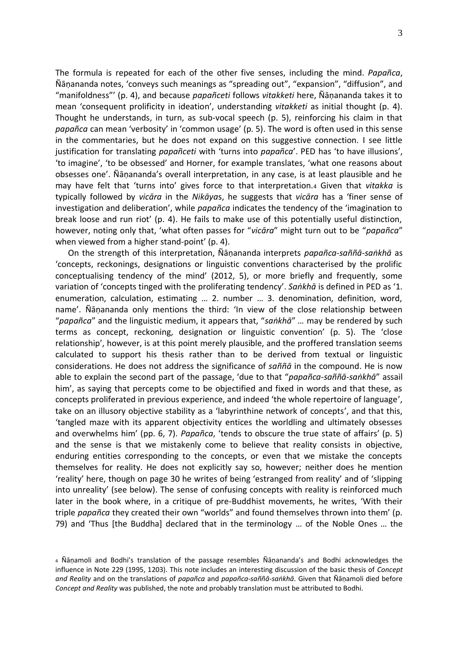The formula is repeated for each of the other five senses, including the mind. *Papañca*, Ñāṇananda notes, 'conveys such meanings as "spreading out", "expansion", "diffusion", and "manifoldness"' (p. 4), and because *papañceti* follows *vitakketi* here, Ñāṇananda takes it to mean 'consequent prolificity in ideation', understanding *vitakketi* as initial thought (p. 4). Thought he understands, in turn, as sub-vocal speech (p. 5), reinforcing his claim in that *papañca* can mean 'verbosity' in 'common usage' (p. 5). The word is often used in this sense in the commentaries, but he does not expand on this suggestive connection. I see little justification for translating *papañceti* with 'turns into *papañca*'. PED has 'to have illusions', 'to imagine', 'to be obsessed' and Horner, for example translates, 'what one reasons about obsesses one'. Ñāṇananda's overall interpretation, in any case, is at least plausible and he may have felt that 'turns into' gives force to that interpretation.<sup>4</sup> Given that *vitakka* is typically followed by *vicāra* in the *Nikāya*s, he suggests that *vicāra* has a 'finer sense of investigation and deliberation', while *papañca* indicates the tendency of the 'imagination to break loose and run riot' (p. 4). He fails to make use of this potentially useful distinction, however, noting only that, 'what often passes for "*vicāra*" might turn out to be "*papañca*" when viewed from a higher stand-point' (p. 4).

On the strength of this interpretation, Ñāṇananda interprets *papañca-saññā-saṅkhā* as 'concepts, reckonings, designations or linguistic conventions characterised by the prolific conceptualising tendency of the mind' (2012, 5), or more briefly and frequently, some variation of 'concepts tinged with the proliferating tendency'. *Saṅkhā* is defined in PED as '1. enumeration, calculation, estimating … 2. number … 3. denomination, definition, word, name'. Ñāṇananda only mentions the third: 'In view of the close relationship between "*papañca*" and the linguistic medium, it appears that, "*saṅkhā*" *…* may be rendered by such terms as concept, reckoning, designation or linguistic convention' (p. 5). The 'close relationship', however, is at this point merely plausible, and the proffered translation seems calculated to support his thesis rather than to be derived from textual or linguistic considerations. He does not address the significance of *saññā* in the compound. He is now able to explain the second part of the passage, 'due to that "*papañca-saññā-saṅkhā*" assail him', as saying that percepts come to be objectified and fixed in words and that these, as concepts proliferated in previous experience, and indeed 'the whole repertoire of language', take on an illusory objective stability as a 'labyrinthine network of concepts', and that this, 'tangled maze with its apparent objectivity entices the worldling and ultimately obsesses and overwhelms him' (pp. 6, 7). *Papañca*, 'tends to obscure the true state of affairs' (p. 5) and the sense is that we mistakenly come to believe that reality consists in objective, enduring entities corresponding to the concepts, or even that we mistake the concepts themselves for reality. He does not explicitly say so, however; neither does he mention 'reality' here, though on page 30 he writes of being 'estranged from reality' and of 'slipping into unreality' (see below). The sense of confusing concepts with reality is reinforced much later in the book where, in a critique of pre-Buddhist movements, he writes, 'With their triple *papañca* they created their own "worlds" and found themselves thrown into them' (p. 79) and 'Thus [the Buddha] declared that in the terminology … of the Noble Ones … the

<sup>4</sup> Ñāṇamoli and Bodhi's translation of the passage resembles Ñāṇananda's and Bodhi acknowledges the influence in Note 229 (1995, 1203). This note includes an interesting discussion of the basic thesis of *Concept and Reality* and on the translations of *papañca* and *papañca-saññā-saṅkhā*. Given that Ñāṇamoli died before *Concept and Reality* was published, the note and probably translation must be attributed to Bodhi.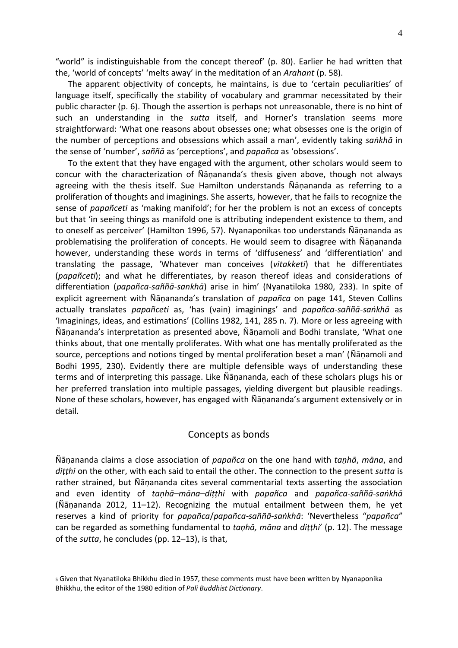"world" is indistinguishable from the concept thereof' (p. 80). Earlier he had written that the, 'world of concepts' 'melts away' in the meditation of an *Arahant* (p. 58).

The apparent objectivity of concepts, he maintains, is due to 'certain peculiarities' of language itself, specifically the stability of vocabulary and grammar necessitated by their public character (p. 6). Though the assertion is perhaps not unreasonable, there is no hint of such an understanding in the *sutta* itself, and Horner's translation seems more straightforward: 'What one reasons about obsesses one; what obsesses one is the origin of the number of perceptions and obsessions which assail a man', evidently taking *saṅkhā* in the sense of 'number', *saññā* as 'perceptions', and *papañca* as 'obsessions'.

To the extent that they have engaged with the argument, other scholars would seem to concur with the characterization of Ñāṇananda's thesis given above, though not always agreeing with the thesis itself. Sue Hamilton understands Ñāṇananda as referring to a proliferation of thoughts and imaginings. She asserts, however, that he fails to recognize the sense of *papañceti* as 'making manifold'; for her the problem is not an excess of concepts but that 'in seeing things as manifold one is attributing independent existence to them, and to oneself as perceiver' (Hamilton 1996, 57). Nyanaponikas too understands Ñāṇananda as problematising the proliferation of concepts. He would seem to disagree with Ñāṇananda however, understanding these words in terms of 'diffuseness' and 'differentiation' and translating the passage, 'Whatever man conceives (*vitakketi*) that he differentiates (*papañceti*); and what he differentiates, by reason thereof ideas and considerations of differentiation (*papañca-saññā-sankhā*) arise in him' (Nyanatiloka 1980, 233). In spite of explicit agreement with Ñāṇananda's translation of *papañca* on page 141, Steven Collins actually translates *papañceti* as, 'has (vain) imaginings' and *papañca-saññā-saṅkhā* as 'Imaginings, ideas, and estimations' (Collins 1982, 141, 285 n. 7). More or less agreeing with Ñāṇananda's interpretation as presented above, Ñāṇamoli and Bodhi translate, 'What one thinks about, that one mentally proliferates. With what one has mentally proliferated as the source, perceptions and notions tinged by mental proliferation beset a man' (Ñāṇamoli and Bodhi 1995, 230). Evidently there are multiple defensible ways of understanding these terms and of interpreting this passage. Like Ñāṇananda, each of these scholars plugs his or her preferred translation into multiple passages, yielding divergent but plausible readings. None of these scholars, however, has engaged with Ñāṇananda's argument extensively or in detail.

#### Concepts as bonds

Ñāṇananda claims a close association of *papañca* on the one hand with *taṇhā*, *māna*, and *diṭṭhi* on the other, with each said to entail the other. The connection to the present *sutta* is rather strained, but Ñāṇananda cites several commentarial texts asserting the association and even identity of *taṇhā–māna–diṭṭhi* with *papañca* and *papañca-saññā-saṅkhā* (Ñāṇananda 2012, 11–12). Recognizing the mutual entailment between them, he yet reserves a kind of priority for *papañca*/*papañca-saññā-saṅkhā*: 'Nevertheless "*papañca*" can be regarded as something fundamental to *taṇhā, māna* and *diṭṭhi*' (p. 12). The message of the *sutta*, he concludes (pp. 12–13), is that,

<sup>5</sup> Given that Nyanatiloka Bhikkhu died in 1957, these comments must have been written by Nyanaponika Bhikkhu, the editor of the 1980 edition of *Pali Buddhist Dictionary*.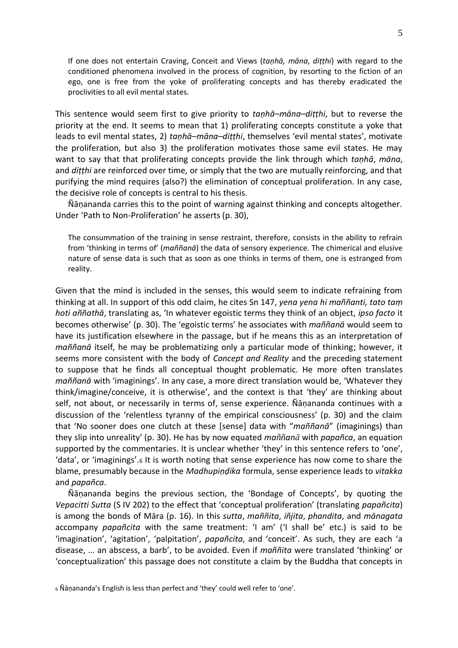If one does not entertain Craving, Conceit and Views (*taṇhā, māna, diṭṭhi*) with regard to the conditioned phenomena involved in the process of cognition, by resorting to the fiction of an ego, one is free from the yoke of proliferating concepts and has thereby eradicated the proclivities to all evil mental states.

This sentence would seem first to give priority to *taṇhā–māna–diṭṭhi*, but to reverse the priority at the end. It seems to mean that 1) proliferating concepts constitute a yoke that leads to evil mental states, 2) *taṇhā–māna–diṭṭhi*, themselves 'evil mental states', motivate the proliferation, but also 3) the proliferation motivates those same evil states. He may want to say that that proliferating concepts provide the link through which *tanhā*, *māna*, and *diṭṭhi* are reinforced over time, or simply that the two are mutually reinforcing, and that purifying the mind requires (also?) the elimination of conceptual proliferation. In any case, the decisive role of concepts is central to his thesis.

Ñāṇananda carries this to the point of warning against thinking and concepts altogether. Under 'Path to Non-Proliferation' he asserts (p. 30),

The consummation of the training in sense restraint, therefore, consists in the ability to refrain from 'thinking in terms of' (*maññanā*) the data of sensory experience. The chimerical and elusive nature of sense data is such that as soon as one thinks in terms of them, one is estranged from reality.

Given that the mind is included in the senses, this would seem to indicate refraining from thinking at all. In support of this odd claim, he cites Sn 147, *yena yena hi maññanti, tato taṃ hoti aññathā*, translating as, 'In whatever egoistic terms they think of an object, *ipso facto* it becomes otherwise' (p. 30). The 'egoistic terms' he associates with *maññanā* would seem to have its justification elsewhere in the passage, but if he means this as an interpretation of *maññanā* itself, he may be problematizing only a particular mode of thinking; however, it seems more consistent with the body of *Concept and Reality* and the preceding statement to suppose that he finds all conceptual thought problematic. He more often translates *maññanā* with 'imaginings'. In any case, a more direct translation would be, 'Whatever they think/imagine/conceive, it is otherwise', and the context is that 'they' are thinking about self, not about, or necessarily in terms of, sense experience. Ñāṇananda continues with a discussion of the 'relentless tyranny of the empirical consciousness' (p. 30) and the claim that 'No sooner does one clutch at these [sense] data with "*maññanā*" (imaginings) than they slip into unreality' (p. 30). He has by now equated *maññanā* with *papañca*, an equation supported by the commentaries. It is unclear whether 'they' in this sentence refers to 'one', 'data', or 'imaginings'.<sup>6</sup> It is worth noting that sense experience has now come to share the blame, presumably because in the *Madhupiṇḍika* formula, sense experience leads to *vitakka* and *papañca*.

Ñāṇananda begins the previous section, the 'Bondage of Concepts', by quoting the *Vepacitti Sutta* (S IV 202) to the effect that 'conceptual proliferation' (translating *papañcita*) is among the bonds of Māra (p. 16). In this *sutta*, *maññita*, *iñjita*, *phandita*, and *mānagata* accompany *papañcita* with the same treatment: 'I am' ('I shall be' etc.) is said to be 'imagination', 'agitation', 'palpitation', *papañcita*, and 'conceit'. As such, they are each 'a disease, … an abscess, a barb', to be avoided. Even if *maññita* were translated 'thinking' or 'conceptualization' this passage does not constitute a claim by the Buddha that concepts in

<sup>6</sup> Ñāṇananda's English is less than perfect and 'they' could well refer to 'one'.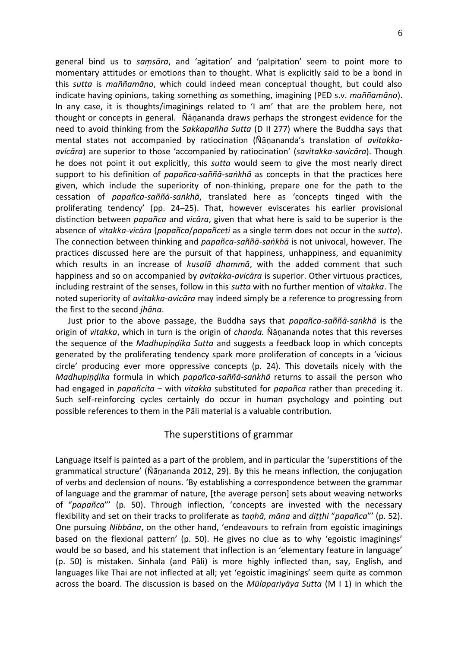general bind us to *saṃsāra*, and 'agitation' and 'palpitation' seem to point more to momentary attitudes or emotions than to thought. What is explicitly said to be a bond in this *sutta* is *maññamāno*, which could indeed mean conceptual thought, but could also indicate having opinions, taking something *as* something, imagining (PED s.v. *maññamāno*). In any case, it is thoughts/imaginings related to 'I am' that are the problem here, not thought or concepts in general. Ñāṇananda draws perhaps the strongest evidence for the need to avoid thinking from the *Sakkapañha Sutta* (D II 277) where the Buddha says that mental states not accompanied by ratiocination (Ñāṇananda's translation of *avitakkaavicāra*) are superior to those 'accompanied by ratiocination' (*savitakka-savicāra*). Though he does not point it out explicitly, this *sutta* would seem to give the most nearly direct support to his definition of *papañca-saññā-saṅkhā* as concepts in that the practices here given, which include the superiority of non-thinking, prepare one for the path to the cessation of *papañca-saññā-saṅkhā*, translated here as 'concepts tinged with the proliferating tendency' (pp. 24–25). That, however eviscerates his earlier provisional distinction between *papañca* and *vicāra*, given that what here is said to be superior is the absence of *vitakka-vicāra* (*papañca*/*papañceti* as a single term does not occur in the *sutta*). The connection between thinking and *papañca-saññā-saṅkhā* is not univocal, however. The practices discussed here are the pursuit of that happiness, unhappiness, and equanimity which results in an increase of *kusalā dhammā*, with the added comment that such happiness and so on accompanied by *avitakka-avicāra* is superior. Other virtuous practices, including restraint of the senses, follow in this *sutta* with no further mention of *vitakka*. The noted superiority of *avitakka-avicāra* may indeed simply be a reference to progressing from the first to the second *jhāna*.

Just prior to the above passage, the Buddha says that *papañca-saññā-saṅkhā* is the origin of *vitakka*, which in turn is the origin of *chanda.* Ñāṇananda notes that this reverses the sequence of the *Madhupiṇḍika Sutta* and suggests a feedback loop in which concepts generated by the proliferating tendency spark more proliferation of concepts in a 'vicious circle' producing ever more oppressive concepts (p. 24). This dovetails nicely with the *Madhupiṇḍika* formula in which *papañca-saññā-saṅkhā* returns to assail the person who had engaged in *papañcita* – with *vitakka* substituted for *papañca* rather than preceding it. Such self-reinforcing cycles certainly do occur in human psychology and pointing out possible references to them in the Pāli material is a valuable contribution.

### The superstitions of grammar

Language itself is painted as a part of the problem, and in particular the 'superstitions of the grammatical structure' (Ñāṇananda 2012, 29). By this he means inflection, the conjugation of verbs and declension of nouns. 'By establishing a correspondence between the grammar of language and the grammar of nature, [the average person] sets about weaving networks of "*papañca*"' (p. 50). Through inflection, 'concepts are invested with the necessary flexibility and set on their tracks to proliferate as *taṇhā, māna* and *diṭṭhi* "*papañca*"' (p. 52). One pursuing *Nibbāna*, on the other hand, 'endeavours to refrain from egoistic imaginings based on the flexional pattern' (p. 50). He gives no clue as to why 'egoistic imaginings' would be so based, and his statement that inflection is an 'elementary feature in language' (p. 50) is mistaken. Sinhala (and Pāli) is more highly inflected than, say, English, and languages like Thai are not inflected at all; yet 'egoistic imaginings' seem quite as common across the board. The discussion is based on the *Mūlapariyāya Sutta* (M I 1) in which the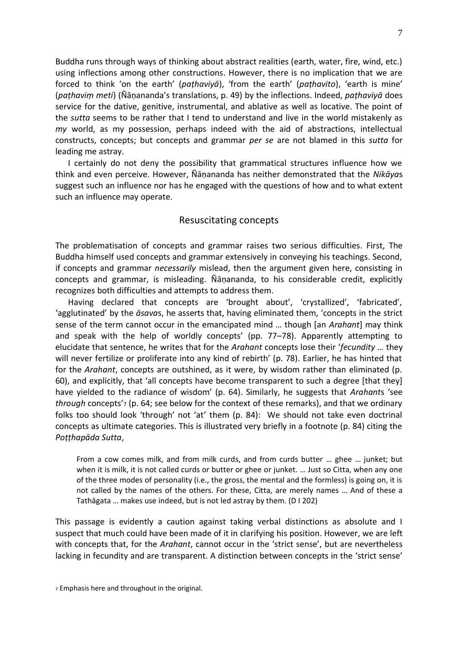Buddha runs through ways of thinking about abstract realities (earth, water, fire, wind, etc.) using inflections among other constructions. However, there is no implication that we are forced to think 'on the earth' (*paṭhaviyā*), 'from the earth' (*paṭhavito*), 'earth is mine' (*paṭhaviṃ meti*) (Ñāṇananda's translations, p. 49) by the inflections. Indeed, *paṭhaviyā* does service for the dative, genitive, instrumental, and ablative as well as locative. The point of the *sutta* seems to be rather that I tend to understand and live in the world mistakenly as *my* world, as my possession, perhaps indeed with the aid of abstractions, intellectual constructs, concepts; but concepts and grammar *per se* are not blamed in this *sutta* for leading me astray.

I certainly do not deny the possibility that grammatical structures influence how we think and even perceive. However, Ñāṇananda has neither demonstrated that the *Nikāya*s suggest such an influence nor has he engaged with the questions of how and to what extent such an influence may operate.

#### Resuscitating concepts

The problematisation of concepts and grammar raises two serious difficulties. First, The Buddha himself used concepts and grammar extensively in conveying his teachings. Second, if concepts and grammar *necessarily* mislead, then the argument given here, consisting in concepts and grammar, is misleading. Ñāṇananda, to his considerable credit, explicitly recognizes both difficulties and attempts to address them.

Having declared that concepts are 'brought about', 'crystallized', 'fabricated', 'agglutinated' by the *āsava*s, he asserts that, having eliminated them, 'concepts in the strict sense of the term cannot occur in the emancipated mind … though [an *Arahant*] may think and speak with the help of worldly concepts' (pp. 77–78). Apparently attempting to elucidate that sentence, he writes that for the *Arahant* concepts lose their '*fecundity …* they will never fertilize or proliferate into any kind of rebirth' (p. 78). Earlier, he has hinted that for the *Arahant*, concepts are outshined, as it were, by wisdom rather than eliminated (p. 60), and explicitly, that 'all concepts have become transparent to such a degree [that they] have yielded to the radiance of wisdom' (p. 64). Similarly, he suggests that *Arahant*s 'see *through* concepts'<sup>7</sup> (p. 64; see below for the context of these remarks), and that we ordinary folks too should look 'through' not 'at' them (p. 84): We should not take even doctrinal concepts as ultimate categories. This is illustrated very briefly in a footnote (p. 84) citing the *Poṭṭhapāda Sutta*,

From a cow comes milk, and from milk curds, and from curds butter … ghee … junket; but when it is milk, it is not called curds or butter or ghee or junket. … Just so Citta, when any one of the three modes of personality (i.e., the gross, the mental and the formless) is going on, it is not called by the names of the others. For these, Citta, are merely names … And of these a Tathāgata … makes use indeed, but is not led astray by them. (D I 202)

This passage is evidently a caution against taking verbal distinctions as absolute and I suspect that much could have been made of it in clarifying his position. However, we are left with concepts that, for the *Arahant*, cannot occur in the 'strict sense', but are nevertheless lacking in fecundity and are transparent. A distinction between concepts in the 'strict sense'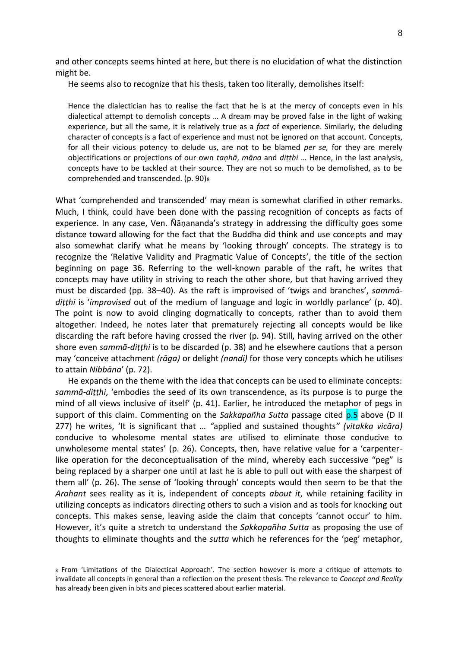and other concepts seems hinted at here, but there is no elucidation of what the distinction might be.

He seems also to recognize that his thesis, taken too literally, demolishes itself:

Hence the dialectician has to realise the fact that he is at the mercy of concepts even in his dialectical attempt to demolish concepts … A dream may be proved false in the light of waking experience, but all the same, it is relatively true as a *fact* of experience. Similarly, the deluding character of concepts is a fact of experience and must not be ignored on that account. Concepts, for all their vicious potency to delude us, are not to be blamed *per se,* for they are merely objectifications or projections of our own *taṇhā*, *māna* and *diṭṭhi* … Hence, in the last analysis, concepts have to be tackled at their source. They are not so much to be demolished, as to be comprehended and transcended. (p. 90)<sup>8</sup>

What 'comprehended and transcended' may mean is somewhat clarified in other remarks. Much, I think, could have been done with the passing recognition of concepts as facts of experience. In any case, Ven. Ñāṇananda's strategy in addressing the difficulty goes some distance toward allowing for the fact that the Buddha did think and use concepts and may also somewhat clarify what he means by 'looking through' concepts. The strategy is to recognize the 'Relative Validity and Pragmatic Value of Concepts', the title of the section beginning on page 36. Referring to the well-known parable of the raft, he writes that concepts may have utility in striving to reach the other shore, but that having arrived they must be discarded (pp. 38–40). As the raft is improvised of 'twigs and branches', *sammādiṭṭhi* is '*improvised* out of the medium of language and logic in worldly parlance' (p. 40). The point is now to avoid clinging dogmatically to concepts, rather than to avoid them altogether. Indeed, he notes later that prematurely rejecting all concepts would be like discarding the raft before having crossed the river (p. 94). Still, having arrived on the other shore even *sammā-diṭṭhi* is to be discarded (p. 38) and he elsewhere cautions that a person may 'conceive attachment *(rāga)* or delight *(nandi)* for those very concepts which he utilises to attain *Nibbāna*' (p. 72).

He expands on the theme with the idea that concepts can be used to eliminate concepts: *sammā-diṭṭhi*, 'embodies the seed of its own transcendence, as its purpose is to purge the mind of all views inclusive of itself' (p. 41). Earlier, he introduced the metaphor of pegs in support of this claim. Commenting on the *Sakkapañha Sutta* passage cited p.5 above (D II 277) he writes, 'It is significant that … *"*applied and sustained thoughts*" (vitakka vicāra)*  conducive to wholesome mental states are utilised to eliminate those conducive to unwholesome mental states' (p. 26). Concepts, then, have relative value for a 'carpenterlike operation for the deconceptualisation of the mind, whereby each successive "peg" is being replaced by a sharper one until at last he is able to pull out with ease the sharpest of them all' (p. 26). The sense of 'looking through' concepts would then seem to be that the *Arahant* sees reality as it is, independent of concepts *about it*, while retaining facility in utilizing concepts as indicators directing others to such a vision and as tools for knocking out concepts. This makes sense, leaving aside the claim that concepts 'cannot occur' to him. However, it's quite a stretch to understand the *Sakkapañha Sutta* as proposing the use of thoughts to eliminate thoughts and the *sutta* which he references for the 'peg' metaphor,

<sup>8</sup> From 'Limitations of the Dialectical Approach'. The section however is more a critique of attempts to invalidate all concepts in general than a reflection on the present thesis. The relevance to *Concept and Reality*  has already been given in bits and pieces scattered about earlier material.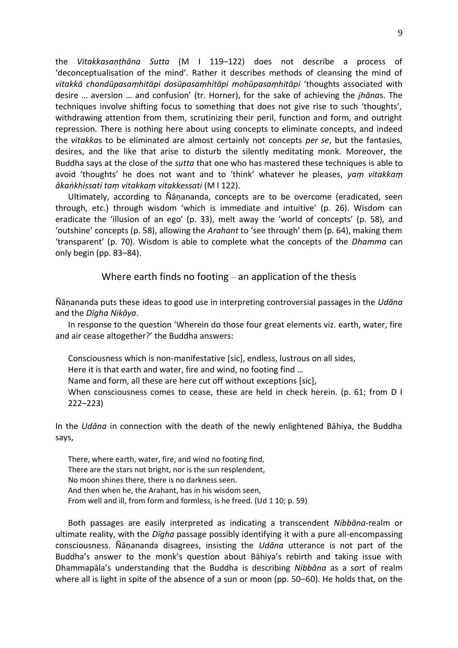the *Vitakkasaṇṭhāna Sutta* (M I 119–122) does not describe a process of 'deconceptualisation of the mind'. Rather it describes methods of cleansing the mind of *vitakkā chandūpasaṃhitāpi dosūpasaṃhitāpi mohūpasaṃhitāpi* 'thoughts associated with desire … aversion … and confusion' (tr. Horner), for the sake of achieving the *jhāna*s. The techniques involve shifting focus to something that does not give rise to such 'thoughts', withdrawing attention from them, scrutinizing their peril, function and form, and outright repression. There is nothing here about using concepts to eliminate concepts, and indeed the *vitakka*s to be eliminated are almost certainly not concepts *per se*, but the fantasies, desires, and the like that arise to disturb the silently meditating monk. Moreover, the Buddha says at the close of the *sutta* that one who has mastered these techniques is able to avoid 'thoughts' he does not want and to 'think' whatever he pleases, *yaṃ vitakkaṃ ākaṅkhissati taṃ vitakkaṃ vitakkessati* (M I 122).

Ultimately, according to Ñāṇananda, concepts are to be overcome (eradicated, seen through, etc.) through wisdom 'which is immediate and intuitive' (p. 26). Wisdom can eradicate the 'illusion of an ego' (p. 33), melt away the 'world of concepts' (p. 58), and 'outshine' concepts (p. 58), allowing the *Arahant* to 'see through' them (p. 64), making them 'transparent' (p. 70). Wisdom is able to complete what the concepts of the *Dhamma* can only begin (pp. 83–84).

Where earth finds no footing – an application of the thesis

Ñāṇananda puts these ideas to good use in interpreting controversial passages in the *Udāna* and the *Dīgha Nikāya*.

In response to the question 'Wherein do those four great elements viz. earth, water, fire and air cease altogether?' the Buddha answers:

Consciousness which is non-manifestative [sic], endless, lustrous on all sides, Here it is that earth and water, fire and wind, no footing find … Name and form, all these are here cut off without exceptions [sic], When consciousness comes to cease, these are held in check herein. (p. 61; from D I 222–223)

In the *Udāna* in connection with the death of the newly enlightened Bāhiya, the Buddha says,

There, where earth, water, fire, and wind no footing find, There are the stars not bright, nor is the sun resplendent, No moon shines there, there is no darkness seen. And then when he, the Arahant, has in his wisdom seen, From well and ill, from form and formless, is he freed. (Ud 1 10; p. 59)

Both passages are easily interpreted as indicating a transcendent *Nibbāna*-realm or ultimate reality, with the *Dīgha* passage possibly identifying it with a pure all-encompassing consciousness. Ñāṇananda disagrees, insisting the *Udāna* utterance is not part of the Buddha's answer to the monk's question about Bāhiya's rebirth and taking issue with Dhammapāla's understanding that the Buddha is describing *Nibbāna* as a sort of realm where all is light in spite of the absence of a sun or moon (pp. 50–60). He holds that, on the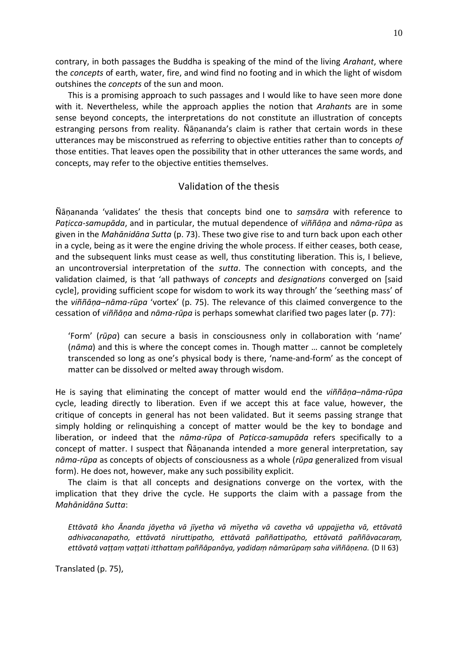contrary, in both passages the Buddha is speaking of the mind of the living *Arahant*, where the *concepts* of earth, water, fire, and wind find no footing and in which the light of wisdom outshines the *concepts* of the sun and moon.

This is a promising approach to such passages and I would like to have seen more done with it. Nevertheless, while the approach applies the notion that *Arahant*s are in some sense beyond concepts, the interpretations do not constitute an illustration of concepts estranging persons from reality. Ñāṇananda's claim is rather that certain words in these utterances may be misconstrued as referring to objective entities rather than to concepts *of* those entities. That leaves open the possibility that in other utterances the same words, and concepts, may refer to the objective entities themselves.

# Validation of the thesis

Ñāṇananda 'validates' the thesis that concepts bind one to *saṃsāra* with reference to *Paṭicca-samupāda*, and in particular, the mutual dependence of *viññāṇa* and *nāma-rūpa* as given in the *Mahānidāna Sutta* (p. 73). These two give rise to and turn back upon each other in a cycle, being as it were the engine driving the whole process. If either ceases, both cease, and the subsequent links must cease as well, thus constituting liberation. This is, I believe, an uncontroversial interpretation of the *sutta*. The connection with concepts, and the validation claimed, is that 'all pathways of *concepts* and *designations* converged on [said cycle], providing sufficient scope for wisdom to work its way through' the 'seething mass' of the *viññāṇa*–*nāma-rūpa* 'vortex' (p. 75). The relevance of this claimed convergence to the cessation of *viññāṇa* and *nāma-rūpa* is perhaps somewhat clarified two pages later (p. 77):

'Form' (*rūpa*) can secure a basis in consciousness only in collaboration with 'name' (*nāma*) and this is where the concept comes in. Though matter … cannot be completely transcended so long as one's physical body is there, 'name-and-form' as the concept of matter can be dissolved or melted away through wisdom.

He is saying that eliminating the concept of matter would end the *viññāṇa*–*nāma-rūpa*  cycle, leading directly to liberation. Even if we accept this at face value, however, the critique of concepts in general has not been validated. But it seems passing strange that simply holding or relinquishing a concept of matter would be the key to bondage and liberation, or indeed that the *nāma-rūpa* of *Paṭicca-samupāda* refers specifically to a concept of matter. I suspect that Ñāṇananda intended a more general interpretation, say *nāma-rūpa* as concepts of objects of consciousness as a whole (*rūpa* generalized from visual form). He does not, however, make any such possibility explicit.

The claim is that all concepts and designations converge on the vortex, with the implication that they drive the cycle. He supports the claim with a passage from the *Mahānidāna Sutta*:

*Ettāvatā kho Ānanda jāyetha vā jīyetha vā mīyetha vā cavetha vā uppajjetha vā, ettāvatā adhivacanapatho, ettāvatā niruttipatho, ettāvatā paññattipatho, ettāvatā paññāvacaraṃ, ettāvatā vaṭṭaṃ vaṭṭati itthattaṃ paññāpanāya, yadidaṃ nāmarūpaṃ saha viññāṇena.* (D II 63)

Translated (p. 75),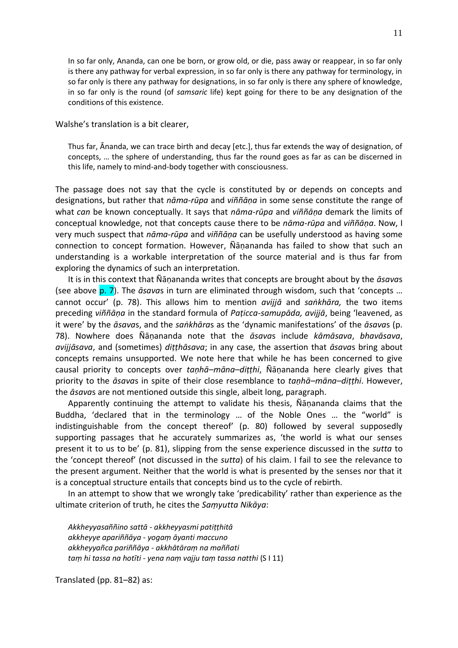11

In so far only, Ananda, can one be born, or grow old, or die, pass away or reappear, in so far only is there any pathway for verbal expression, in so far only is there any pathway for terminology, in so far only is there any pathway for designations, in so far only is there any sphere of knowledge, in so far only is the round (of *samsaric* life) kept going for there to be any designation of the conditions of this existence.

Walshe's translation is a bit clearer,

Thus far, Ānanda, we can trace birth and decay [etc.], thus far extends the way of designation, of concepts, … the sphere of understanding, thus far the round goes as far as can be discerned in this life, namely to mind-and-body together with consciousness.

The passage does not say that the cycle is constituted by or depends on concepts and designations, but rather that *nāma-rūpa* and *viññāṇa* in some sense constitute the range of what *can* be known conceptually. It says that *nāma-rūpa* and *viññāṇa* demark the limits of conceptual knowledge, not that concepts cause there to be *nāma-rūpa* and *viññāṇa*. Now, I very much suspect that *nāma-rūpa* and *viññāṇa* can be usefully understood as having some connection to concept formation. However, Ñāṇananda has failed to show that such an understanding is a workable interpretation of the source material and is thus far from exploring the dynamics of such an interpretation.

It is in this context that Ñāṇananda writes that concepts are brought about by the *āsava*s (see above p. 7). The *āsava*s in turn are eliminated through wisdom, such that 'concepts … cannot occur' (p. 78). This allows him to mention *avijjā* and *saṅkhāra,* the two items preceding *viññāṇa* in the standard formula of *Paṭicca-samupāda, avijjā*, being 'leavened, as it were' by the *āsava*s, and the *saṅkhāra*s as the 'dynamic manifestations' of the *āsava*s (p. 78). Nowhere does Ñāṇananda note that the *āsava*s include *kāmāsava*, *bhavāsava*, *avijjāsava*, and (sometimes) *diṭṭhāsava*; in any case, the assertion that *āsava*s bring about concepts remains unsupported. We note here that while he has been concerned to give causal priority to concepts over *taṇhā–māna–diṭṭhi*, Ñāṇananda here clearly gives that priority to the *āsava*s in spite of their close resemblance to *taṇhā–māna–diṭṭhi*. However, the *āsava*s are not mentioned outside this single, albeit long, paragraph.

Apparently continuing the attempt to validate his thesis, Ñāṇananda claims that the Buddha, 'declared that in the terminology … of the Noble Ones … the "world" is indistinguishable from the concept thereof' (p. 80) followed by several supposedly supporting passages that he accurately summarizes as, 'the world is what our senses present it to us to be' (p. 81), slipping from the sense experience discussed in the *sutta* to the 'concept thereof' (not discussed in the *sutta*) of his claim. I fail to see the relevance to the present argument. Neither that the world is what is presented by the senses nor that it is a conceptual structure entails that concepts bind us to the cycle of rebirth.

In an attempt to show that we wrongly take 'predicability' rather than experience as the ultimate criterion of truth, he cites the *Saṃyutta Nikāya*:

*Akkheyyasaññino sattā - akkheyyasmi patiṭṭhitā akkheyye apariññāya - yogaṃ āyanti maccuno akkheyyañca pariññāya - akkhātāraṃ na maññati taṃ hi tassa na hotīti - yena naṃ vajju taṃ tassa natthi* (S I 11)

Translated (pp. 81–82) as: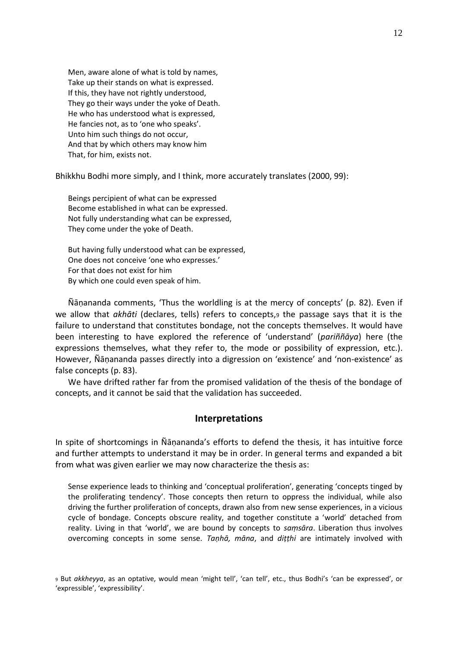Men, aware alone of what is told by names, Take up their stands on what is expressed. If this, they have not rightly understood, They go their ways under the yoke of Death. He who has understood what is expressed, He fancies not, as to 'one who speaks'. Unto him such things do not occur, And that by which others may know him That, for him, exists not.

Bhikkhu Bodhi more simply, and I think, more accurately translates (2000, 99):

Beings percipient of what can be expressed Become established in what can be expressed. Not fully understanding what can be expressed, They come under the yoke of Death.

But having fully understood what can be expressed, One does not conceive 'one who expresses.' For that does not exist for him By which one could even speak of him.

Ñāṇananda comments, 'Thus the worldling is at the mercy of concepts' (p. 82). Even if we allow that *akhāti* (declares, tells) refers to concepts,<sup>9</sup> the passage says that it is the failure to understand that constitutes bondage, not the concepts themselves. It would have been interesting to have explored the reference of 'understand' (*pariññāya*) here (the expressions themselves, what they refer to, the mode or possibility of expression, etc.). However, Ñāṇananda passes directly into a digression on 'existence' and 'non-existence' as false concepts (p. 83).

We have drifted rather far from the promised validation of the thesis of the bondage of concepts, and it cannot be said that the validation has succeeded.

#### **Interpretations**

In spite of shortcomings in Ñāṇananda's efforts to defend the thesis, it has intuitive force and further attempts to understand it may be in order. In general terms and expanded a bit from what was given earlier we may now characterize the thesis as:

Sense experience leads to thinking and 'conceptual proliferation', generating 'concepts tinged by the proliferating tendency'. Those concepts then return to oppress the individual, while also driving the further proliferation of concepts, drawn also from new sense experiences, in a vicious cycle of bondage. Concepts obscure reality, and together constitute a 'world' detached from reality. Living in that 'world', we are bound by concepts to *saṃsāra*. Liberation thus involves overcoming concepts in some sense. *Taṇhā, māna*, and *diṭṭhi* are intimately involved with

<sup>9</sup> But *akkheyya*, as an optative, would mean 'might tell', 'can tell', etc., thus Bodhi's 'can be expressed', or 'expressible', 'expressibility'.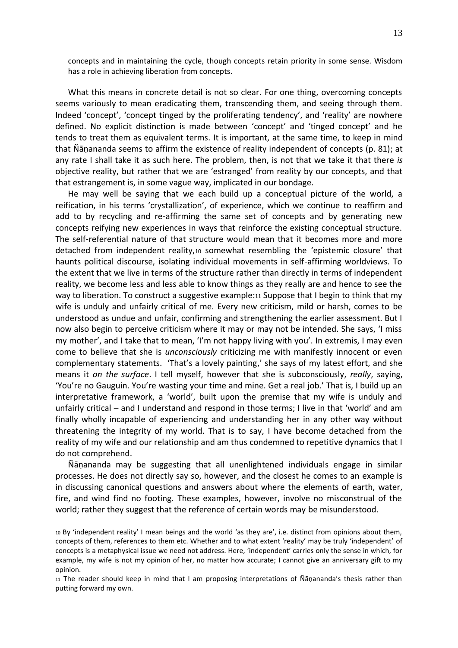concepts and in maintaining the cycle, though concepts retain priority in some sense. Wisdom has a role in achieving liberation from concepts.

What this means in concrete detail is not so clear. For one thing, overcoming concepts seems variously to mean eradicating them, transcending them, and seeing through them. Indeed 'concept', 'concept tinged by the proliferating tendency', and 'reality' are nowhere defined. No explicit distinction is made between 'concept' and 'tinged concept' and he tends to treat them as equivalent terms. It is important, at the same time, to keep in mind that Ñāṇananda seems to affirm the existence of reality independent of concepts (p. 81); at any rate I shall take it as such here. The problem, then, is not that we take it that there *is* objective reality, but rather that we are 'estranged' from reality by our concepts, and that that estrangement is, in some vague way, implicated in our bondage.

He may well be saying that we each build up a conceptual picture of the world, a reification, in his terms 'crystallization', of experience, which we continue to reaffirm and add to by recycling and re-affirming the same set of concepts and by generating new concepts reifying new experiences in ways that reinforce the existing conceptual structure. The self-referential nature of that structure would mean that it becomes more and more detached from independent reality,<sup>10</sup> somewhat resembling the 'epistemic closure' that haunts political discourse, isolating individual movements in self-affirming worldviews. To the extent that we live in terms of the structure rather than directly in terms of independent reality, we become less and less able to know things as they really are and hence to see the way to liberation. To construct a suggestive example:11 Suppose that I begin to think that my wife is unduly and unfairly critical of me. Every new criticism, mild or harsh, comes to be understood as undue and unfair, confirming and strengthening the earlier assessment. But I now also begin to perceive criticism where it may or may not be intended. She says, 'I miss my mother', and I take that to mean, 'I'm not happy living with you'. In extremis, I may even come to believe that she is *unconsciously* criticizing me with manifestly innocent or even complementary statements. 'That's a lovely painting,' she says of my latest effort, and she means it *on the surface*. I tell myself, however that she is subconsciously, *really*, saying, 'You're no Gauguin. You're wasting your time and mine. Get a real job.' That is, I build up an interpretative framework, a 'world', built upon the premise that my wife is unduly and unfairly critical – and I understand and respond in those terms; I live in that 'world' and am finally wholly incapable of experiencing and understanding her in any other way without threatening the integrity of my world. That is to say, I have become detached from the reality of my wife and our relationship and am thus condemned to repetitive dynamics that I do not comprehend.

Ñāṇananda may be suggesting that all unenlightened individuals engage in similar processes. He does not directly say so, however, and the closest he comes to an example is in discussing canonical questions and answers about where the elements of earth, water, fire, and wind find no footing. These examples, however, involve no misconstrual of the world; rather they suggest that the reference of certain words may be misunderstood.

<sup>10</sup> By 'independent reality' I mean beings and the world 'as they are', i.e. distinct from opinions about them, concepts of them, references to them etc. Whether and to what extent 'reality' may be truly 'independent' of concepts is a metaphysical issue we need not address. Here, 'independent' carries only the sense in which, for example, my wife is not my opinion of her, no matter how accurate; I cannot give an anniversary gift to my opinion.

<sup>11</sup> The reader should keep in mind that I am proposing interpretations of Ñāṇananda's thesis rather than putting forward my own.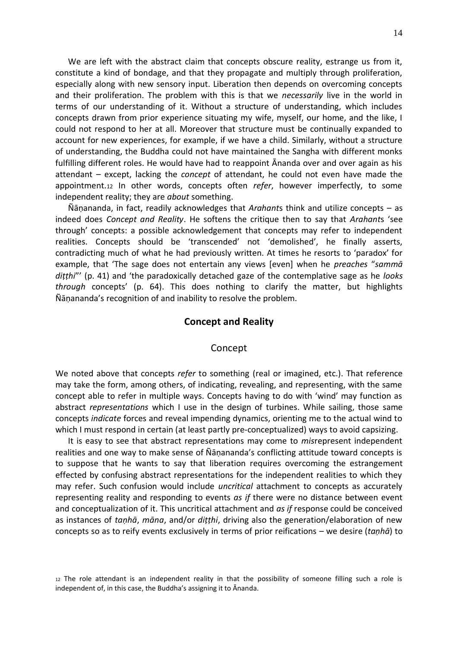We are left with the abstract claim that concepts obscure reality, estrange us from it, constitute a kind of bondage, and that they propagate and multiply through proliferation, especially along with new sensory input. Liberation then depends on overcoming concepts and their proliferation. The problem with this is that we *necessarily* live in the world in terms of our understanding of it. Without a structure of understanding, which includes concepts drawn from prior experience situating my wife, myself, our home, and the like, I could not respond to her at all. Moreover that structure must be continually expanded to account for new experiences, for example, if we have a child. Similarly, without a structure of understanding, the Buddha could not have maintained the Sangha with different monks fulfilling different roles. He would have had to reappoint Ānanda over and over again as his attendant – except, lacking the *concept* of attendant, he could not even have made the appointment.<sup>12</sup> In other words, concepts often *refer*, however imperfectly, to some independent reality; they are *about* something.

Ñāṇananda, in fact, readily acknowledges that *Arahant*s think and utilize concepts – as indeed does *Concept and Reality*. He softens the critique then to say that *Arahant*s 'see through' concepts: a possible acknowledgement that concepts may refer to independent realities. Concepts should be 'transcended' not 'demolished', he finally asserts, contradicting much of what he had previously written. At times he resorts to 'paradox' for example, that 'The sage does not entertain any views [even] when he *preaches* "*sammā diṭṭhi*"' (p. 41) and 'the paradoxically detached gaze of the contemplative sage as he *looks through* concepts' (p. 64). This does nothing to clarify the matter, but highlights Ñāṇananda's recognition of and inability to resolve the problem.

#### **Concept and Reality**

#### Concept

We noted above that concepts *refer* to something (real or imagined, etc.). That reference may take the form, among others, of indicating, revealing, and representing, with the same concept able to refer in multiple ways. Concepts having to do with 'wind' may function as abstract *representations* which I use in the design of turbines. While sailing, those same concepts *indicate* forces and reveal impending dynamics, orienting me to the actual wind to which I must respond in certain (at least partly pre-conceptualized) ways to avoid capsizing.

It is easy to see that abstract representations may come to *mis*represent independent realities and one way to make sense of Ñāṇananda's conflicting attitude toward concepts is to suppose that he wants to say that liberation requires overcoming the estrangement effected by confusing abstract representations for the independent realities to which they may refer. Such confusion would include *uncritical* attachment to concepts as accurately representing reality and responding to events *as if* there were no distance between event and conceptualization of it. This uncritical attachment and *as if* response could be conceived as instances of *taṇhā*, *māna*, and/or *diṭṭhi*, driving also the generation/elaboration of new concepts so as to reify events exclusively in terms of prior reifications – we desire (*taṇhā*) to

<sup>12</sup> The role attendant is an independent reality in that the possibility of someone filling such a role is independent of, in this case, the Buddha's assigning it to Ānanda.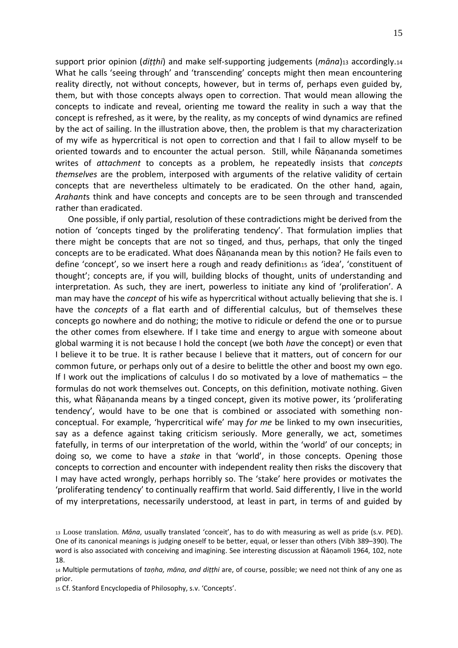support prior opinion (*diṭṭhi*) and make self-supporting judgements (*māna*)<sup>13</sup> accordingly.<sup>14</sup> What he calls 'seeing through' and 'transcending' concepts might then mean encountering reality directly, not without concepts, however, but in terms of, perhaps even guided by, them, but with those concepts always open to correction. That would mean allowing the concepts to indicate and reveal, orienting me toward the reality in such a way that the concept is refreshed, as it were, by the reality, as my concepts of wind dynamics are refined by the act of sailing. In the illustration above, then, the problem is that my characterization of my wife as hypercritical is not open to correction and that I fail to allow myself to be oriented towards and to encounter the actual person. Still, while Ñāṇananda sometimes writes of *attachment* to concepts as a problem, he repeatedly insists that *concepts themselves* are the problem, interposed with arguments of the relative validity of certain concepts that are nevertheless ultimately to be eradicated. On the other hand, again, *Arahant*s think and have concepts and concepts are to be seen through and transcended rather than eradicated.

One possible, if only partial, resolution of these contradictions might be derived from the notion of 'concepts tinged by the proliferating tendency'. That formulation implies that there might be concepts that are not so tinged, and thus, perhaps, that only the tinged concepts are to be eradicated. What does Ñāṇananda mean by this notion? He fails even to define 'concept', so we insert here a rough and ready definition15 as 'idea', 'constituent of thought'; concepts are, if you will, building blocks of thought, units of understanding and interpretation. As such, they are inert, powerless to initiate any kind of 'proliferation'. A man may have the *concept* of his wife as hypercritical without actually believing that she is. I have the *concepts* of a flat earth and of differential calculus, but of themselves these concepts go nowhere and do nothing; the motive to ridicule or defend the one or to pursue the other comes from elsewhere. If I take time and energy to argue with someone about global warming it is not because I hold the concept (we both *have* the concept) or even that I believe it to be true. It is rather because I believe that it matters, out of concern for our common future, or perhaps only out of a desire to belittle the other and boost my own ego. If I work out the implications of calculus I do so motivated by a love of mathematics – the formulas do not work themselves out. Concepts, on this definition, motivate nothing. Given this, what Ñāṇananda means by a tinged concept, given its motive power, its 'proliferating tendency', would have to be one that is combined or associated with something nonconceptual. For example, 'hypercritical wife' may *for me* be linked to my own insecurities, say as a defence against taking criticism seriously. More generally, we act, sometimes fatefully, in terms of our interpretation of the world, within the 'world' of our concepts; in doing so, we come to have a *stake* in that 'world', in those concepts. Opening those concepts to correction and encounter with independent reality then risks the discovery that I may have acted wrongly, perhaps horribly so. The 'stake' here provides or motivates the 'proliferating tendency' to continually reaffirm that world. Said differently, I live in the world of my interpretations, necessarily understood, at least in part, in terms of and guided by

<sup>13</sup> Loose translation. *Māna*, usually translated 'conceit', has to do with measuring as well as pride (s.v. PED). One of its canonical meanings is judging oneself to be better, equal, or lesser than others (Vibh 389–390). The word is also associated with conceiving and imagining. See interesting discussion at Ñāṇamoli 1964, 102, note 18.

<sup>14</sup> Multiple permutations of *taṇha, māna, and diṭṭhi* are, of course, possible; we need not think of any one as prior.

<sup>15</sup> Cf. Stanford Encyclopedia of Philosophy, s.v. 'Concepts'.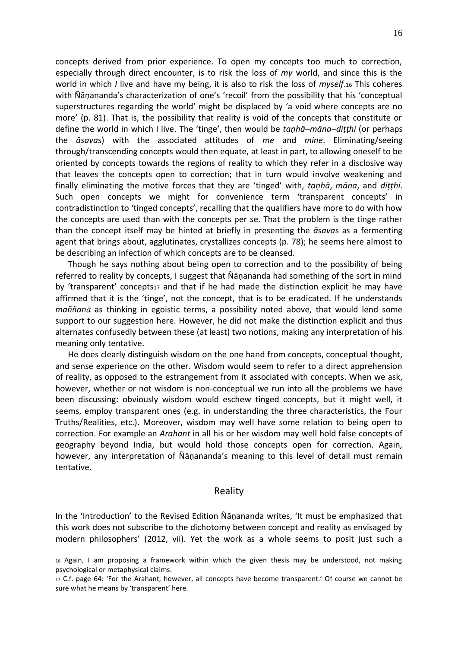concepts derived from prior experience. To open my concepts too much to correction, especially through direct encounter, is to risk the loss of *my* world, and since this is the world in which *I* live and have my being, it is also to risk the loss of *myself*.<sup>16</sup> This coheres with Ñāṇananda's characterization of one's 'recoil' from the possibility that his 'conceptual superstructures regarding the world' might be displaced by 'a void where concepts are no more' (p. 81). That is, the possibility that reality is void of the concepts that constitute or define the world in which I live. The 'tinge', then would be *taṇhā–māna–diṭṭhi* (or perhaps the *āsava*s) with the associated attitudes of *me* and *mine*. Eliminating/seeing through/transcending concepts would then equate, at least in part, to allowing oneself to be oriented by concepts towards the regions of reality to which they refer in a disclosive way that leaves the concepts open to correction; that in turn would involve weakening and finally eliminating the motive forces that they are 'tinged' with, *taṇhā*, *māna*, and *diṭṭhi*. Such open concepts we might for convenience term 'transparent concepts' in contradistinction to 'tinged concepts', recalling that the qualifiers have more to do with how the concepts are used than with the concepts per se. That the problem is the tinge rather than the concept itself may be hinted at briefly in presenting the *āsava*s as a fermenting agent that brings about, agglutinates, crystallizes concepts (p. 78); he seems here almost to be describing an infection of which concepts are to be cleansed.

Though he says nothing about being open to correction and to the possibility of being referred to reality by concepts, I suggest that Ñāṇananda had something of the sort in mind by 'transparent' concepts17 and that if he had made the distinction explicit he may have affirmed that it is the 'tinge', not the concept, that is to be eradicated. If he understands *maññanā* as thinking in egoistic terms, a possibility noted above, that would lend some support to our suggestion here. However, he did not make the distinction explicit and thus alternates confusedly between these (at least) two notions, making any interpretation of his meaning only tentative.

He does clearly distinguish wisdom on the one hand from concepts, conceptual thought, and sense experience on the other. Wisdom would seem to refer to a direct apprehension of reality, as opposed to the estrangement from it associated with concepts. When we ask, however, whether or not wisdom is non-conceptual we run into all the problems we have been discussing: obviously wisdom would eschew tinged concepts, but it might well, it seems, employ transparent ones (e.g. in understanding the three characteristics, the Four Truths/Realities, etc.). Moreover, wisdom may well have some relation to being open to correction. For example an *Arahant* in all his or her wisdom may well hold false concepts of geography beyond India, but would hold those concepts open for correction. Again, however, any interpretation of Ñāṇananda's meaning to this level of detail must remain tentative.

### Reality

In the 'Introduction' to the Revised Edition Ñāṇananda writes, 'It must be emphasized that this work does not subscribe to the dichotomy between concept and reality as envisaged by modern philosophers' (2012, vii). Yet the work as a whole seems to posit just such a

<sup>16</sup> Again, I am proposing a framework within which the given thesis may be understood, not making psychological or metaphysical claims.

<sup>17</sup> C.f. page 64: 'For the Arahant, however, all concepts have become transparent.' Of course we cannot be sure what he means by 'transparent' here.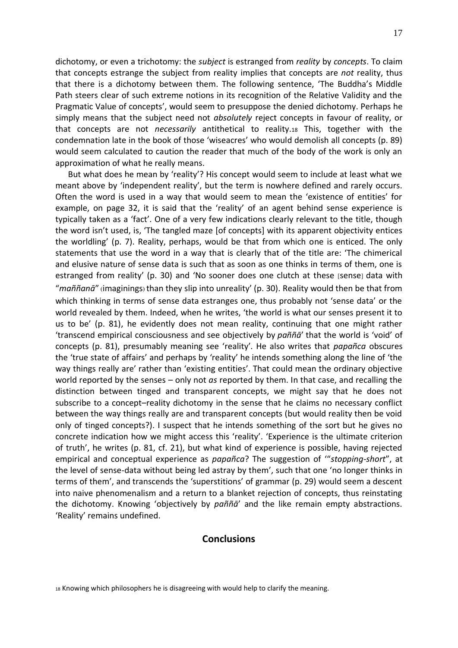dichotomy, or even a trichotomy: the *subject* is estranged from *reality* by *concepts*. To claim that concepts estrange the subject from reality implies that concepts are *not* reality, thus that there is a dichotomy between them. The following sentence, 'The Buddha's Middle Path steers clear of such extreme notions in its recognition of the Relative Validity and the Pragmatic Value of concepts', would seem to presuppose the denied dichotomy. Perhaps he simply means that the subject need not *absolutely* reject concepts in favour of reality, or that concepts are not *necessarily* antithetical to reality.<sup>18</sup> This, together with the condemnation late in the book of those 'wiseacres' who would demolish all concepts (p. 89) would seem calculated to caution the reader that much of the body of the work is only an approximation of what he really means.

But what does he mean by 'reality'? His concept would seem to include at least what we meant above by 'independent reality', but the term is nowhere defined and rarely occurs. Often the word is used in a way that would seem to mean the 'existence of entities' for example, on page 32, it is said that the 'reality' of an agent behind sense experience is typically taken as a 'fact'. One of a very few indications clearly relevant to the title, though the word isn't used, is, 'The tangled maze [of concepts] with its apparent objectivity entices the worldling' (p. 7). Reality, perhaps, would be that from which one is enticed. The only statements that use the word in a way that is clearly that of the title are: 'The chimerical and elusive nature of sense data is such that as soon as one thinks in terms of them, one is estranged from reality' (p. 30) and 'No sooner does one clutch at these [sense] data with "*maññanā*" (imaginings) than they slip into unreality' (p. 30). Reality would then be that from which thinking in terms of sense data estranges one, thus probably not 'sense data' or the world revealed by them. Indeed, when he writes, 'the world is what our senses present it to us to be' (p. 81), he evidently does not mean reality, continuing that one might rather 'transcend empirical consciousness and see objectively by *paññā*' that the world is 'void' of concepts (p. 81), presumably meaning see 'reality'. He also writes that *papañca* obscures the 'true state of affairs' and perhaps by 'reality' he intends something along the line of 'the way things really are' rather than 'existing entities'. That could mean the ordinary objective world reported by the senses – only not *as* reported by them. In that case, and recalling the distinction between tinged and transparent concepts, we might say that he does not subscribe to a concept–reality dichotomy in the sense that he claims no necessary conflict between the way things really are and transparent concepts (but would reality then be void only of tinged concepts?). I suspect that he intends something of the sort but he gives no concrete indication how we might access this 'reality'. 'Experience is the ultimate criterion of truth', he writes (p. 81, cf. 21), but what kind of experience is possible, having rejected empirical and conceptual experience as *papañca*? The suggestion of '"*stopping-short*", at the level of sense-data without being led astray by them', such that one 'no longer thinks in terms of them', and transcends the 'superstitions' of grammar (p. 29) would seem a descent into naive phenomenalism and a return to a blanket rejection of concepts, thus reinstating the dichotomy. Knowing 'objectively by *paññā*' and the like remain empty abstractions. 'Reality' remains undefined.

### **Conclusions**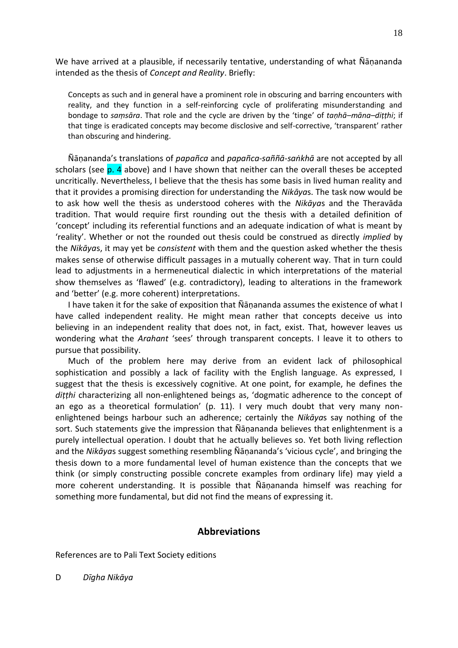We have arrived at a plausible, if necessarily tentative, understanding of what Ñāṇananda intended as the thesis of *Concept and Reality*. Briefly:

Concepts as such and in general have a prominent role in obscuring and barring encounters with reality, and they function in a self-reinforcing cycle of proliferating misunderstanding and bondage to *saṃsāra*. That role and the cycle are driven by the 'tinge' of *taṇhā–māna–diṭṭhi*; if that tinge is eradicated concepts may become disclosive and self-corrective, 'transparent' rather than obscuring and hindering.

Ñāṇananda's translations of *papañca* and *papañca-saññā-saṅkhā* are not accepted by all scholars (see p. 4 above) and I have shown that neither can the overall theses be accepted uncritically. Nevertheless, I believe that the thesis has some basis in lived human reality and that it provides a promising direction for understanding the *Nikāya*s. The task now would be to ask how well the thesis as understood coheres with the *Nikāya*s and the Theravāda tradition. That would require first rounding out the thesis with a detailed definition of 'concept' including its referential functions and an adequate indication of what is meant by 'reality'. Whether or not the rounded out thesis could be construed as directly *implied* by the *Nikāya*s, it may yet be *consistent* with them and the question asked whether the thesis makes sense of otherwise difficult passages in a mutually coherent way. That in turn could lead to adjustments in a hermeneutical dialectic in which interpretations of the material show themselves as 'flawed' (e.g. contradictory), leading to alterations in the framework and 'better' (e.g. more coherent) interpretations.

I have taken it for the sake of exposition that Ñāṇananda assumes the existence of what I have called independent reality. He might mean rather that concepts deceive us into believing in an independent reality that does not, in fact, exist. That, however leaves us wondering what the *Arahant* 'sees' through transparent concepts. I leave it to others to pursue that possibility.

Much of the problem here may derive from an evident lack of philosophical sophistication and possibly a lack of facility with the English language. As expressed, I suggest that the thesis is excessively cognitive. At one point, for example, he defines the *diṭṭhi* characterizing all non-enlightened beings as, 'dogmatic adherence to the concept of an ego as a theoretical formulation' (p. 11). I very much doubt that very many nonenlightened beings harbour such an adherence; certainly the *Nikāya*s say nothing of the sort. Such statements give the impression that Ñāṇananda believes that enlightenment is a purely intellectual operation. I doubt that he actually believes so. Yet both living reflection and the *Nikāya*s suggest something resembling Ñāṇananda's 'vicious cycle', and bringing the thesis down to a more fundamental level of human existence than the concepts that we think (or simply constructing possible concrete examples from ordinary life) may yield a more coherent understanding. It is possible that Ñāṇananda himself was reaching for something more fundamental, but did not find the means of expressing it.

### **Abbreviations**

References are to Pali Text Society editions

D *Dīgha Nikāya*